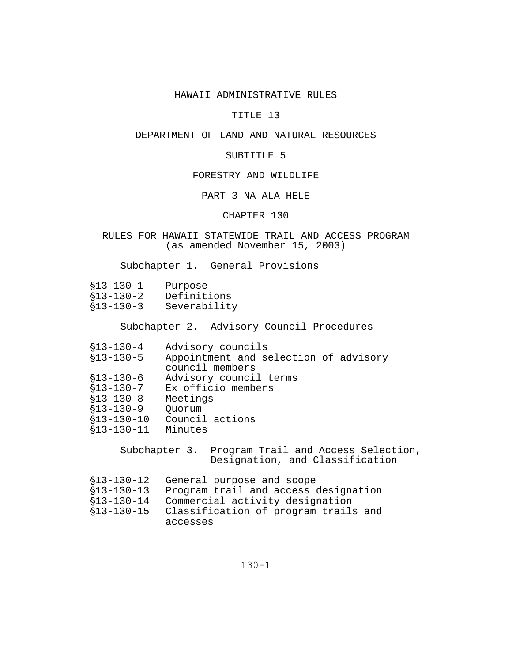## HAWAII ADMINISTRATIVE RULES

# TITLE 13

# DEPARTMENT OF LAND AND NATURAL RESOURCES

### SUBTITLE 5

# FORESTRY AND WILDLIFE

# PART 3 NA ALA HELE

# CHAPTER 130

# RULES FOR HAWAII STATEWIDE TRAIL AND ACCESS PROGRAM (as amended November 15, 2003)

Subchapter 1. General Provisions

| $$13-130-1$ | Purpose      |
|-------------|--------------|
| $$13-130-2$ | Definitions  |
| $$13-130-3$ | Severability |

Subchapter 2. Advisory Council Procedures

| $$13-130-4$     | Advisory councils                     |
|-----------------|---------------------------------------|
| $$13-130-5$     | Appointment and selection of advisory |
|                 | council members                       |
| $$13-130-6$     | Advisory council terms                |
| $$13-130-7$     | Ex officio members                    |
| $$13 - 130 - 8$ | Meetings                              |
| $$13-130-9$     | Ouorum                                |
| $$13-130-10$    | Council actions                       |
| $$13-130-11$    | Minutes                               |
|                 |                                       |

Subchapter 3. Program Trail and Access Selection, Designation, and Classification

| §13-130-12 General purpose and scope            |  |  |  |
|-------------------------------------------------|--|--|--|
| §13-130-13 Program trail and access designation |  |  |  |

- '13-130-14 Commercial activity designation
- '13-130-15 Classification of program trails and accesses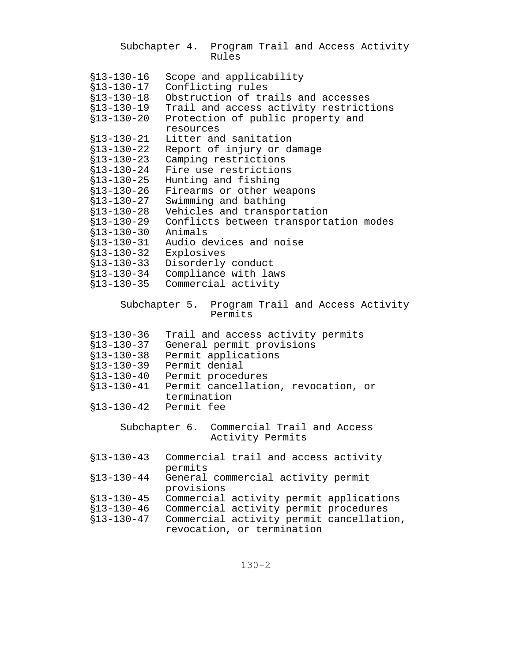|                                  | Subchapter 4. Program Trail and Access Activity<br>Rules               |
|----------------------------------|------------------------------------------------------------------------|
| $$13-130-16$                     | Scope and applicability                                                |
| $$13-130-17$                     | Conflicting rules                                                      |
| $$13-130-18$                     | Obstruction of trails and accesses                                     |
| $$13-130-19$                     | Trail and access activity restrictions                                 |
| $$13 - 130 - 20$                 | Protection of public property and                                      |
|                                  | resources                                                              |
| $$13-130-21$                     | Litter and sanitation                                                  |
| $$13-130-22$                     | Report of injury or damage                                             |
| $$13 - 130 - 23$                 | Camping restrictions                                                   |
| $$13-130-24$                     | Fire use restrictions                                                  |
| $$13 - 130 - 25$                 | Hunting and fishing                                                    |
| $$13-130-26$                     | Firearms or other weapons                                              |
| $$13-130-27$                     | Swimming and bathing                                                   |
| $$13-130-28$                     | Vehicles and transportation                                            |
| $$13-130-29$                     | Conflicts between transportation modes                                 |
| $$13 - 130 - 30$                 | Animals                                                                |
| $$13-130-31$                     | Audio devices and noise                                                |
| $$13-130-32$                     | Explosives                                                             |
| $$13 - 130 - 33$                 | Disorderly conduct                                                     |
| $$13 - 130 - 34$                 | Compliance with laws                                                   |
| $$13 - 130 - 35$                 | Commercial activity                                                    |
|                                  | Subchapter 5.<br>Program Trail and Access Activity<br>Permits          |
| $$13 - 130 - 36$                 | Trail and access activity permits                                      |
| $§13 - 130 - 37$                 | General permit provisions                                              |
| $$13 - 130 - 38$                 |                                                                        |
|                                  |                                                                        |
|                                  | Permit applications<br>Permit denial                                   |
| $$13 - 130 - 39$<br>$$13-130-40$ | Permit procedures                                                      |
| $$13-130-41$                     | Permit cancellation, revocation, or                                    |
|                                  | termination                                                            |
| $$13-130-42$ Permit fee          |                                                                        |
|                                  | Commercial Trail and Access<br>Subchapter 6.<br>Activity Permits       |
| $$13-130-43$                     | Commercial trail and access activity                                   |
|                                  | permits                                                                |
| $$13 - 130 - 44$                 | General commercial activity permit                                     |
|                                  | provisions                                                             |
| $$13 - 130 - 45$                 | Commercial activity permit applications                                |
| $$13-130-46$                     | Commercial activity permit procedures                                  |
| $$13-130-47$                     | Commercial activity permit cancellation,<br>revocation, or termination |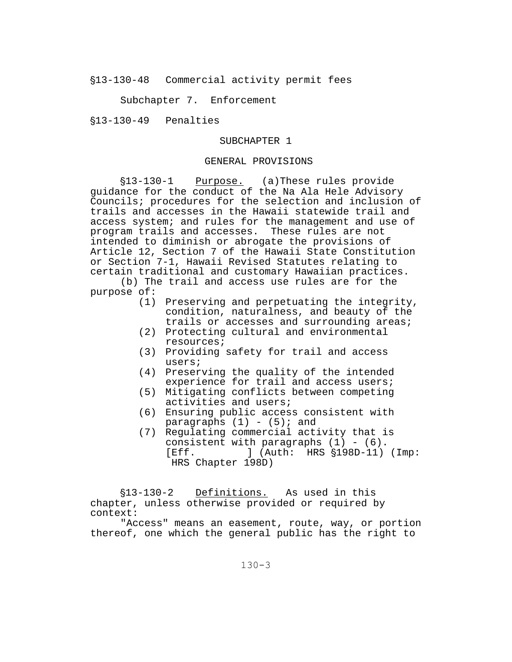'13-130-48 Commercial activity permit fees

Subchapter 7. Enforcement

'13-130-49 Penalties

## SUBCHAPTER 1

## GENERAL PROVISIONS

§13-130-1 Purpose. (a)These rules provide guidance for the conduct of the Na Ala Hele Advisory Councils; procedures for the selection and inclusion of trails and accesses in the Hawaii statewide trail and access system; and rules for the management and use of program trails and accesses. These rules are not intended to diminish or abrogate the provisions of Article 12, Section 7 of the Hawaii State Constitution or Section 7-1, Hawaii Revised Statutes relating to certain traditional and customary Hawaiian practices.

(b) The trail and access use rules are for the purpose of:

- (1) Preserving and perpetuating the integrity, condition, naturalness, and beauty of the trails or accesses and surrounding areas;
- (2) Protecting cultural and environmental resources;
- (3) Providing safety for trail and access users;
- (4) Preserving the quality of the intended experience for trail and access users;
- (5) Mitigating conflicts between competing activities and users;
- (6) Ensuring public access consistent with paragraphs  $(1) - (5)i$  and
- (7) Regulating commercial activity that is consistent with paragraphs  $(1) - (6)$ .  $[Eff.$  ] (Auth: HRS  $$198D-11$ ) (Imp: HRS Chapter 198D)

§13-130-2 Definitions. As used in this chapter, unless otherwise provided or required by context:

"Access" means an easement, route, way, or portion thereof, one which the general public has the right to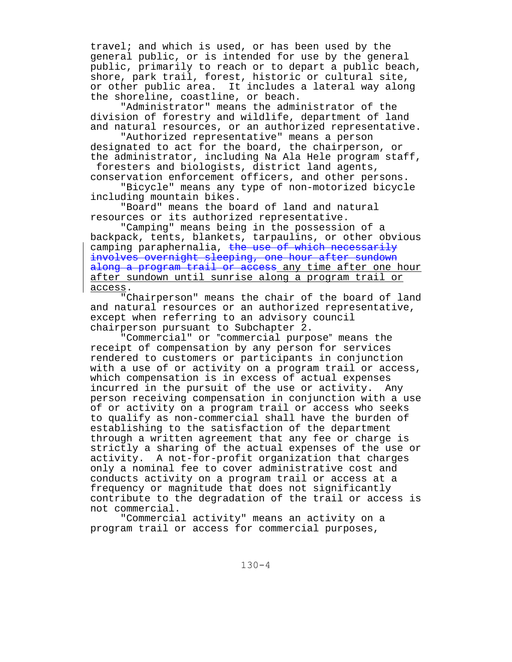travel; and which is used, or has been used by the general public, or is intended for use by the general public, primarily to reach or to depart a public beach, shore, park trail, forest, historic or cultural site, or other public area. It includes a lateral way along the shoreline, coastline, or beach.

"Administrator" means the administrator of the division of forestry and wildlife, department of land and natural resources, or an authorized representative.

"Authorized representative" means a person designated to act for the board, the chairperson, or the administrator, including Na Ala Hele program staff, foresters and biologists, district land agents,

conservation enforcement officers, and other persons. "Bicycle" means any type of non-motorized bicycle including mountain bikes.

"Board" means the board of land and natural resources or its authorized representative.

"Camping" means being in the possession of a backpack, tents, blankets, tarpaulins, or other obvious camping paraphernalia, the use of which necessarily involves overnight sleeping, one hour after sundown along a program trail or access any time after one hour after sundown until sunrise along a program trail or access.

"Chairperson" means the chair of the board of land and natural resources or an authorized representative, except when referring to an advisory council chairperson pursuant to Subchapter 2.

"Commercial" or "commercial purpose" means the receipt of compensation by any person for services rendered to customers or participants in conjunction with a use of or activity on a program trail or access, which compensation is in excess of actual expenses incurred in the pursuit of the use or activity. Any person receiving compensation in conjunction with a use of or activity on a program trail or access who seeks to qualify as non-commercial shall have the burden of establishing to the satisfaction of the department through a written agreement that any fee or charge is strictly a sharing of the actual expenses of the use or activity. A not-for-profit organization that charges only a nominal fee to cover administrative cost and conducts activity on a program trail or access at a frequency or magnitude that does not significantly contribute to the degradation of the trail or access is not commercial.

"Commercial activity" means an activity on a program trail or access for commercial purposes,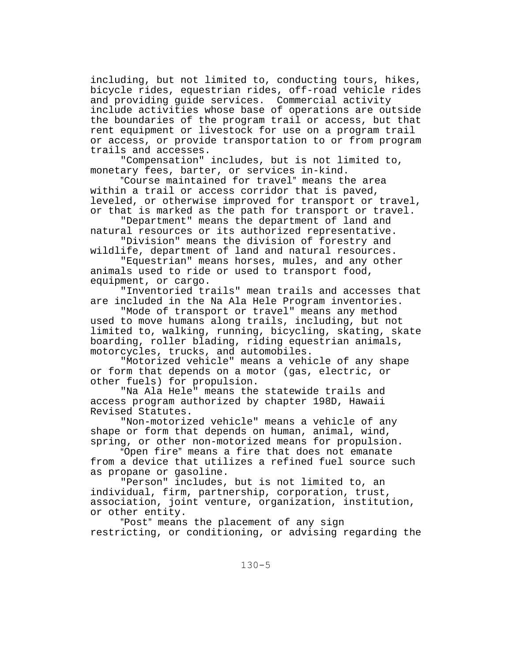including, but not limited to, conducting tours, hikes, bicycle rides, equestrian rides, off-road vehicle rides and providing guide services. Commercial activity include activities whose base of operations are outside the boundaries of the program trail or access, but that rent equipment or livestock for use on a program trail or access, or provide transportation to or from program trails and accesses.

"Compensation" includes, but is not limited to, monetary fees, barter, or services in-kind.

"Course maintained for travel" means the area within a trail or access corridor that is paved, leveled, or otherwise improved for transport or travel, or that is marked as the path for transport or travel.

"Department" means the department of land and natural resources or its authorized representative.

"Division" means the division of forestry and wildlife, department of land and natural resources.

"Equestrian" means horses, mules, and any other animals used to ride or used to transport food, equipment, or cargo.

"Inventoried trails" mean trails and accesses that are included in the Na Ala Hele Program inventories.

"Mode of transport or travel" means any method used to move humans along trails, including, but not limited to, walking, running, bicycling, skating, skate boarding, roller blading, riding equestrian animals, motorcycles, trucks, and automobiles.

"Motorized vehicle" means a vehicle of any shape or form that depends on a motor (gas, electric, or other fuels) for propulsion.

"Na Ala Hele" means the statewide trails and access program authorized by chapter 198D, Hawaii Revised Statutes.

"Non-motorized vehicle" means a vehicle of any shape or form that depends on human, animal, wind, spring, or other non-motorized means for propulsion.

"Open fire" means a fire that does not emanate from a device that utilizes a refined fuel source such as propane or gasoline.

"Person" includes, but is not limited to, an individual, firm, partnership, corporation, trust, association, joint venture, organization, institution, or other entity.

"Post" means the placement of any sign restricting, or conditioning, or advising regarding the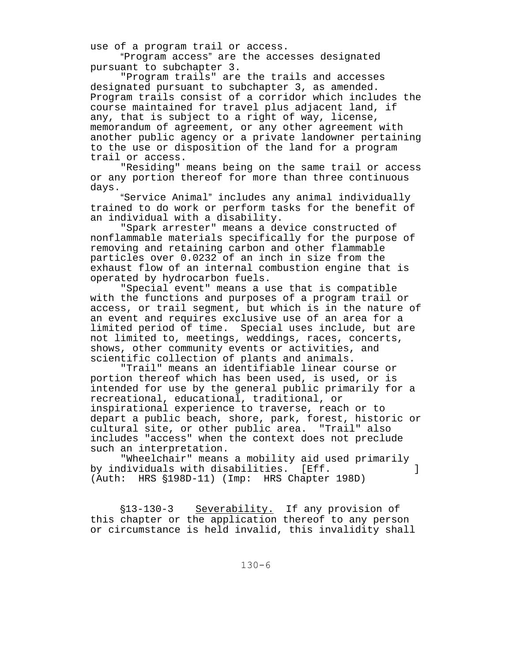use of a program trail or access.

"Program access" are the accesses designated pursuant to subchapter 3.

"Program trails" are the trails and accesses designated pursuant to subchapter 3, as amended. Program trails consist of a corridor which includes the course maintained for travel plus adjacent land, if any, that is subject to a right of way, license, memorandum of agreement, or any other agreement with another public agency or a private landowner pertaining to the use or disposition of the land for a program trail or access.

"Residing" means being on the same trail or access or any portion thereof for more than three continuous days.

"Service Animal" includes any animal individually trained to do work or perform tasks for the benefit of an individual with a disability.

"Spark arrester" means a device constructed of nonflammable materials specifically for the purpose of removing and retaining carbon and other flammable particles over 0.0232 of an inch in size from the exhaust flow of an internal combustion engine that is operated by hydrocarbon fuels.

"Special event" means a use that is compatible with the functions and purposes of a program trail or access, or trail segment, but which is in the nature of an event and requires exclusive use of an area for a limited period of time. Special uses include, but are not limited to, meetings, weddings, races, concerts, shows, other community events or activities, and scientific collection of plants and animals.

"Trail" means an identifiable linear course or portion thereof which has been used, is used, or is intended for use by the general public primarily for a recreational, educational, traditional, or inspirational experience to traverse, reach or to depart a public beach, shore, park, forest, historic or cultural site, or other public area. "Trail" also includes "access" when the context does not preclude such an interpretation.

"Wheelchair" means a mobility aid used primarily by individuals with disabilities. [Eff. ] (Auth: HRS  $$198D-11$ ) (Imp: HRS Chapter 198D)

§13-130-3 Severability. If any provision of this chapter or the application thereof to any person or circumstance is held invalid, this invalidity shall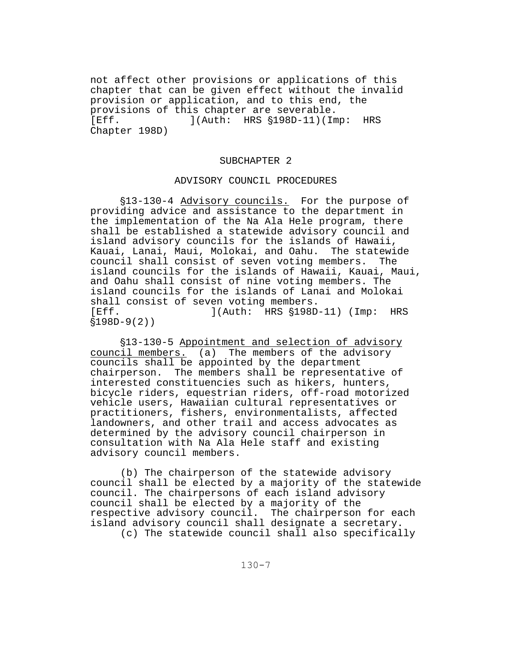not affect other provisions or applications of this chapter that can be given effect without the invalid provision or application, and to this end, the provisions of this chapter are severable. [Eff. ](Auth: HRS \$198D-11)(Imp: HRS Chapter 198D)

### SUBCHAPTER 2

### ADVISORY COUNCIL PROCEDURES

'13-130-4 Advisory councils. For the purpose of providing advice and assistance to the department in the implementation of the Na Ala Hele program, there shall be established a statewide advisory council and island advisory councils for the islands of Hawaii, Kauai, Lanai, Maui, Molokai, and Oahu. The statewide council shall consist of seven voting members. The island councils for the islands of Hawaii, Kauai, Maui, and Oahu shall consist of nine voting members. The island councils for the islands of Lanai and Molokai shall consist of seven voting members. [Eff.  $](\text{Auth: HRS} \S 198D-11)$  (Imp: HRS  $$198D-9(2)$ 

§13-130-5 Appointment and selection of advisory council members. (a) The members of the advisory councils shall be appointed by the department chairperson. The members shall be representative of interested constituencies such as hikers, hunters, bicycle riders, equestrian riders, off-road motorized vehicle users, Hawaiian cultural representatives or practitioners, fishers, environmentalists, affected landowners, and other trail and access advocates as determined by the advisory council chairperson in consultation with Na Ala Hele staff and existing advisory council members.

(b) The chairperson of the statewide advisory council shall be elected by a majority of the statewide council. The chairpersons of each island advisory council shall be elected by a majority of the respective advisory council. The chairperson for each island advisory council shall designate a secretary.

(c) The statewide council shall also specifically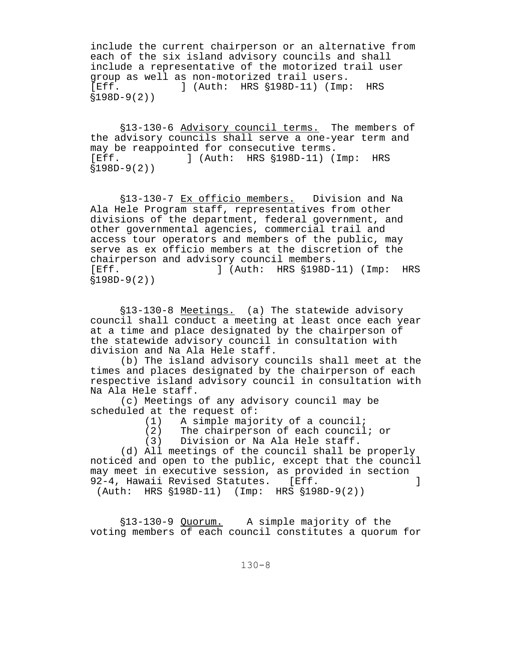include the current chairperson or an alternative from each of the six island advisory councils and shall include a representative of the motorized trail user group as well as non-motorized trail users. [Eff. ] (Auth: HRS  $$198D-11$ ) (Imp: HRS  $$198D-9(2)$ 

§13-130-6 Advisory council terms. The members of the advisory councils shall serve a one-year term and may be reappointed for consecutive terms. [Eff. ] (Auth: HRS  $$198D-11$ ) (Imp: HRS  $$198D-9(2)$ 

'13-130-7 Ex officio members. Division and Na Ala Hele Program staff, representatives from other divisions of the department, federal government, and other governmental agencies, commercial trail and access tour operators and members of the public, may serve as ex officio members at the discretion of the chairperson and advisory council members. [Eff.  $\qquad$  ] (Auth: HRS  $\text{\$198D-11}$ ) (Imp: HRS  $$198D-9(2)$ 

§13-130-8 Meetings. (a) The statewide advisory council shall conduct a meeting at least once each year at a time and place designated by the chairperson of the statewide advisory council in consultation with division and Na Ala Hele staff.

(b) The island advisory councils shall meet at the times and places designated by the chairperson of each respective island advisory council in consultation with Na Ala Hele staff.

(c) Meetings of any advisory council may be scheduled at the request of:

(1) A simple majority of a council;

(2) The chairperson of each council; or

(3) Division or Na Ala Hele staff.

(d) All meetings of the council shall be properly noticed and open to the public, except that the council may meet in executive session, as provided in section 92-4, Hawaii Revised Statutes. [Eff. ]

(Auth: HRS  $$198D-11$ ) (Imp: HRS  $$198D-9(2)$ )

'13-130-9 Quorum. A simple majority of the voting members of each council constitutes a quorum for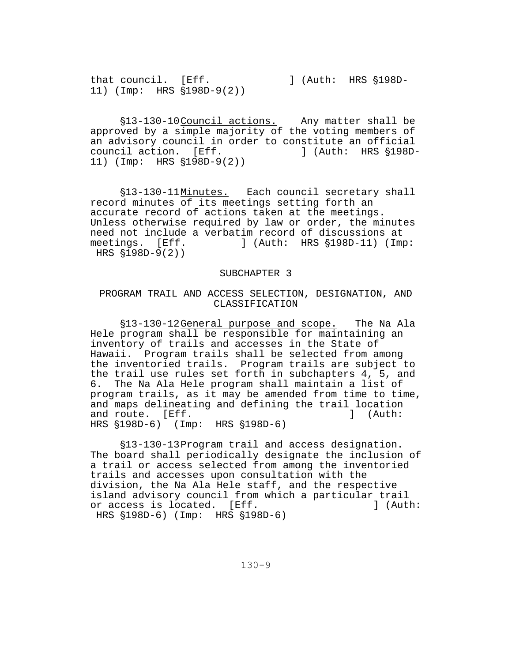that council. [Eff. ] (Auth: HRS  $$198D-$ 11) (Imp: HRS  $$198D-9(2)$ )

\$13-130-10 Council actions. Any matter shall be approved by a simple majority of the voting members of an advisory council in order to constitute an official<br>council action. [Eff. ] (Auth: HRS §198Dcouncil action. [Eff. 11) (Imp: HRS  $$198D-9(2)$ )

§13-130-11Minutes. Each council secretary shall record minutes of its meetings setting forth an accurate record of actions taken at the meetings. Unless otherwise required by law or order, the minutes need not include a verbatim record of discussions at meetings. [Eff. ] (Auth: HRS §198D-11) (Imp: HRS  $$198D-9(2)$ 

#### SUBCHAPTER 3

## PROGRAM TRAIL AND ACCESS SELECTION, DESIGNATION, AND CLASSIFICATION

'13-130-12 General purpose and scope. The Na Ala Hele program shall be responsible for maintaining an inventory of trails and accesses in the State of Hawaii. Program trails shall be selected from among the inventoried trails. Program trails are subject to the trail use rules set forth in subchapters 4, 5, and 6. The Na Ala Hele program shall maintain a list of program trails, as it may be amended from time to time, and maps delineating and defining the trail location and route. [Eff. ] (Auth: HRS  $$198D-6$  (Imp: HRS  $$198D-6$ )

'13-130-13 Program trail and access designation. The board shall periodically designate the inclusion of a trail or access selected from among the inventoried trails and accesses upon consultation with the division, the Na Ala Hele staff, and the respective island advisory council from which a particular trail or access is located. [Eff. The second left is not access is located. [Eff. The second left] (Auth: HRS  $$198D-6$ ) (Imp: HRS  $$198D-6$ )

130-9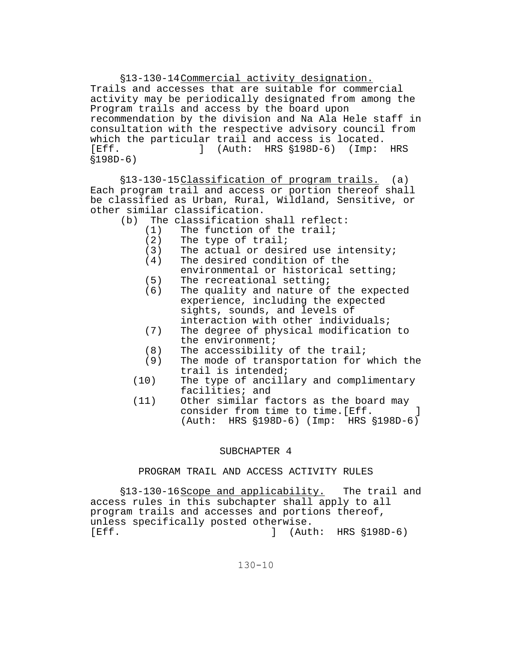'13-130-14 Commercial activity designation. Trails and accesses that are suitable for commercial activity may be periodically designated from among the Program trails and access by the board upon recommendation by the division and Na Ala Hele staff in consultation with the respective advisory council from which the particular trail and access is located. [Eff.  $\qquad$ ] (Auth: HRS  $\text{\$198D-6}$ ) (Imp: HRS  $$198D-6)$ 

§13-130-15 Classification of program trails. (a) Each program trail and access or portion thereof shall be classified as Urban, Rural, Wildland, Sensitive, or other similar classification.

- (b) The classification shall reflect:<br>(1) The function of the trail;
	- (1) The function of the trail;<br>(2) The type of trail;
	- (2) The type of trail;<br>(3) The actual or desi
	- The actual or desired use intensity;
	- (4) The desired condition of the
		- environmental or historical setting;
	- $(5)$  The recreational setting;<br>(6) The quality and nature of
	- The quality and nature of the expected experience, including the expected sights, sounds, and levels of interaction with other individuals;
	- (7) The degree of physical modification to the environment;
	- $(8)$  The accessibility of the trail;<br>(9) The mode of transportation for
	- The mode of transportation for which the trail is intended;
	- (10) The type of ancillary and complimentary facilities; and
	- (11) Other similar factors as the board may consider from time to time. [Eff.  $\qquad$  ] (Auth: HRS  $$198D-6$ ) (Imp: HRS  $$198D-6$ )

## SUBCHAPTER 4

# PROGRAM TRAIL AND ACCESS ACTIVITY RULES

§13-130-16 Scope and applicability. The trail and access rules in this subchapter shall apply to all program trails and accesses and portions thereof, unless specifically posted otherwise.  $[Eff.$   $]$   $(Auth: HRS \S198D-6)$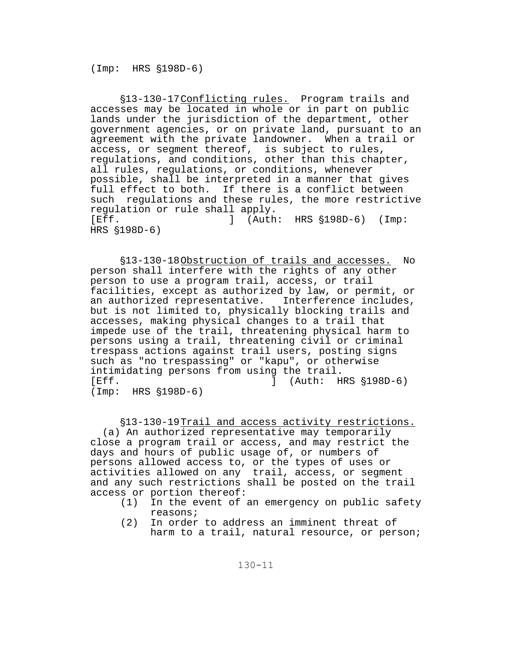'13-130-17 Conflicting rules. Program trails and accesses may be located in whole or in part on public lands under the jurisdiction of the department, other government agencies, or on private land, pursuant to an agreement with the private landowner. When a trail or access, or segment thereof, is subject to rules, regulations, and conditions, other than this chapter, all rules, regulations, or conditions, whenever possible, shall be interpreted in a manner that gives full effect to both. If there is a conflict between such regulations and these rules, the more restrictive regulation or rule shall apply.<br>[Eff. ] (Auth  $(Auth: HRS \S198D-6)$  (Imp: HRS  $$198D-6$ )

'13-130-18 Obstruction of trails and accesses. No person shall interfere with the rights of any other person to use a program trail, access, or trail facilities, except as authorized by law, or permit, or an authorized representative. Interference includes, but is not limited to, physically blocking trails and accesses, making physical changes to a trail that impede use of the trail, threatening physical harm to persons using a trail, threatening civil or criminal trespass actions against trail users, posting signs such as "no trespassing" or "kapu", or otherwise intimidating persons from using the trail. [Eff.  $\begin{bmatrix} 1 & 0 & 1 \end{bmatrix}$  (Auth: HRS \$198D-6)  $(Imp: HRS \S198D-6)$ 

§13-130-19 Trail and access activity restrictions.

 (a) An authorized representative may temporarily close a program trail or access, and may restrict the days and hours of public usage of, or numbers of persons allowed access to, or the types of uses or activities allowed on any trail, access, or segment and any such restrictions shall be posted on the trail access or portion thereof:

- (1) In the event of an emergency on public safety reasons;
- (2) In order to address an imminent threat of harm to a trail, natural resource, or person;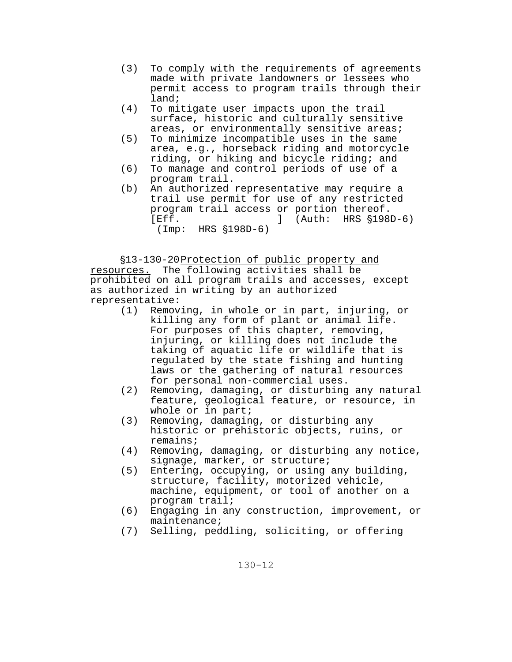- (3) To comply with the requirements of agreements made with private landowners or lessees who permit access to program trails through their land;
- (4) To mitigate user impacts upon the trail surface, historic and culturally sensitive areas, or environmentally sensitive areas;
- (5) To minimize incompatible uses in the same area, e.g., horseback riding and motorcycle riding, or hiking and bicycle riding; and
- (6) To manage and control periods of use of a program trail.
- (b) An authorized representative may require a trail use permit for use of any restricted program trail access or portion thereof.  $[Eff.$   $]$   $(Auth: HRS \$  $$198D-6)$  $(Imp: HRS \$ \$198D-6)

'13-130-20 Protection of public property and

resources. The following activities shall be prohibited on all program trails and accesses, except as authorized in writing by an authorized representative:

- (1) Removing, in whole or in part, injuring, or killing any form of plant or animal life. For purposes of this chapter, removing, injuring, or killing does not include the taking of aquatic life or wildlife that is regulated by the state fishing and hunting laws or the gathering of natural resources for personal non-commercial uses.
- (2) Removing, damaging, or disturbing any natural feature, geological feature, or resource, in whole or in part;
- (3) Removing, damaging, or disturbing any historic or prehistoric objects, ruins, or remains;
- (4) Removing, damaging, or disturbing any notice, signage, marker, or structure;
- (5) Entering, occupying, or using any building, structure, facility, motorized vehicle, machine, equipment, or tool of another on a program trail;
- (6) Engaging in any construction, improvement, or maintenance;
- (7) Selling, peddling, soliciting, or offering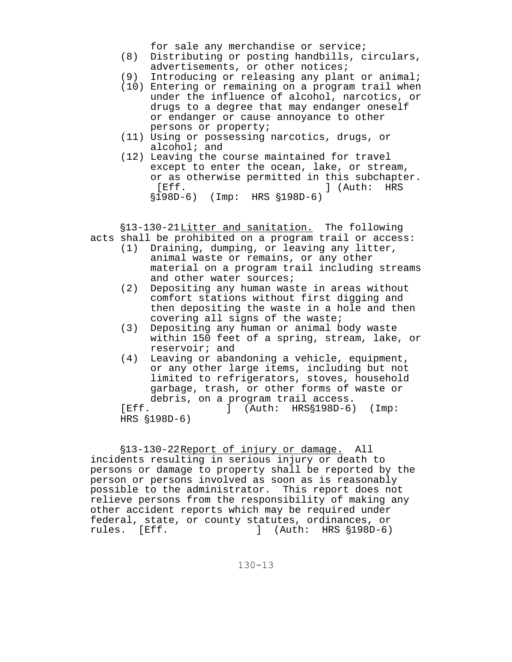for sale any merchandise or service;

- (8) Distributing or posting handbills, circulars, advertisements, or other notices;
- (9) Introducing or releasing any plant or animal;
- (10) Entering or remaining on a program trail when under the influence of alcohol, narcotics, or drugs to a degree that may endanger oneself or endanger or cause annoyance to other persons or property;
- (11) Using or possessing narcotics, drugs, or alcohol; and
- (12) Leaving the course maintained for travel except to enter the ocean, lake, or stream, or as otherwise permitted in this subchapter. [Eff. ] (Auth: HRS §198D-6) (Imp: HRS §198D-6)

§13-130-21 Litter and sanitation. The following acts shall be prohibited on a program trail or access:

- (1) Draining, dumping, or leaving any litter, animal waste or remains, or any other material on a program trail including streams and other water sources;
- (2) Depositing any human waste in areas without comfort stations without first digging and then depositing the waste in a hole and then covering all signs of the waste;
- (3) Depositing any human or animal body waste within 150 feet of a spring, stream, lake, or reservoir; and
- (4) Leaving or abandoning a vehicle, equipment, or any other large items, including but not limited to refrigerators, stoves, household garbage, trash, or other forms of waste or debris, on a program trail access.

[Eff. ] (Auth: HRS§198D-6) (Imp:  $HRS$   $$198D-6$ )

'13-130-22 Report of injury or damage. All incidents resulting in serious injury or death to persons or damage to property shall be reported by the person or persons involved as soon as is reasonably possible to the administrator. This report does not relieve persons from the responsibility of making any other accident reports which may be required under federal, state, or county statutes, ordinances, or<br>rules. [Eff. ] (Auth: HRS §198D-6) J (Auth: HRS  $$198D-6$ )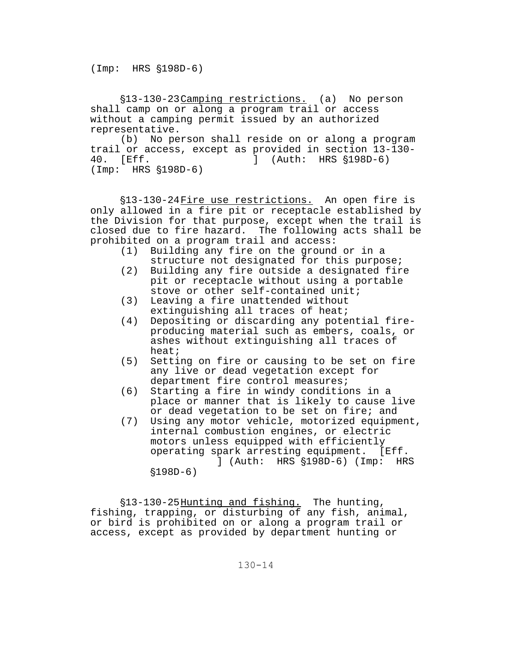'13-130-23 Camping restrictions. (a) No person shall camp on or along a program trail or access without a camping permit issued by an authorized representative.

(b) No person shall reside on or along a program trail or access, except as provided in section  $13-\overline{1}30-\overline{4}0$ . [Eff.  $1$  (Auth: HRS §198D-6) 40. [Eff. 100] (Auth: HRS \$198D-6)  $(Imp: HRS \$ \$198D-6)

'13-130-24 Fire use restrictions. An open fire is only allowed in a fire pit or receptacle established by the Division for that purpose, except when the trail is closed due to fire hazard. The following acts shall be prohibited on a program trail and access:

- (1) Building any fire on the ground or in a structure not designated for this purpose;
- (2) Building any fire outside a designated fire pit or receptacle without using a portable stove or other self-contained unit;
- (3) Leaving a fire unattended without extinguishing all traces of heat;
- (4) Depositing or discarding any potential fireproducing material such as embers, coals, or ashes without extinguishing all traces of heat;
- (5) Setting on fire or causing to be set on fire any live or dead vegetation except for department fire control measures;
- (6) Starting a fire in windy conditions in a place or manner that is likely to cause live or dead vegetation to be set on fire; and
- (7) Using any motor vehicle, motorized equipment, internal combustion engines, or electric motors unless equipped with efficiently operating spark arresting equipment. [Eff. ] (Auth: HRS §198D-6) (Imp: HRS  $$198D-6)$

§13-130-25 Hunting and fishing. The hunting, fishing, trapping, or disturbing of any fish, animal, or bird is prohibited on or along a program trail or access, except as provided by department hunting or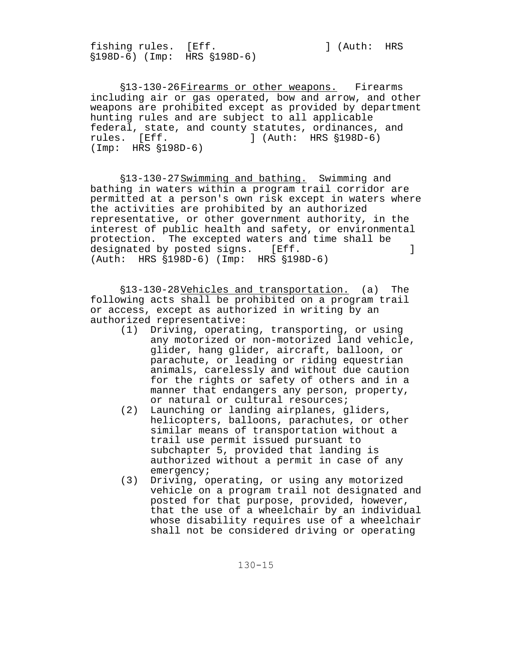fishing rules. [Eff. The second control of  $\lambda$  and  $\lambda$  and  $\lambda$  and  $\lambda$  and  $\lambda$  and  $\lambda$  and  $\lambda$  and  $\lambda$  and  $\lambda$  and  $\lambda$  and  $\lambda$  and  $\lambda$  and  $\lambda$  and  $\lambda$  and  $\lambda$  and  $\lambda$  and  $\lambda$  and  $\lambda$  and  $\lambda$  and  $\lambda$  and '198D-6) (Imp: HRS '198D-6)

§13-130-26 Firearms or other weapons. Firearms including air or gas operated, bow and arrow, and other weapons are prohibited except as provided by department hunting rules and are subject to all applicable federal, state, and county statutes, ordinances, and rules. [Eff. ] (Auth: HRS  $\S 198D-6$ )  $(Imp: HRS \$ \$198D-6)

'13-130-27 Swimming and bathing. Swimming and bathing in waters within a program trail corridor are permitted at a person's own risk except in waters where the activities are prohibited by an authorized representative, or other government authority, in the interest of public health and safety, or environmental protection. The excepted waters and time shall be designated by posted signs. [Eff.  $\qquad \qquad$  ] (Auth: HRS  $$198D-6$ ) (Imp: HRS  $$198D-6$ )

'13-130-28 Vehicles and transportation. (a) The following acts shall be prohibited on a program trail or access, except as authorized in writing by an authorized representative:

- (1) Driving, operating, transporting, or using any motorized or non-motorized land vehicle, glider, hang glider, aircraft, balloon, or parachute, or leading or riding equestrian animals, carelessly and without due caution for the rights or safety of others and in a manner that endangers any person, property, or natural or cultural resources;
- (2) Launching or landing airplanes, gliders, helicopters, balloons, parachutes, or other similar means of transportation without a trail use permit issued pursuant to subchapter 5, provided that landing is authorized without a permit in case of any emergency;
- (3) Driving, operating, or using any motorized vehicle on a program trail not designated and posted for that purpose, provided, however, that the use of a wheelchair by an individual whose disability requires use of a wheelchair shall not be considered driving or operating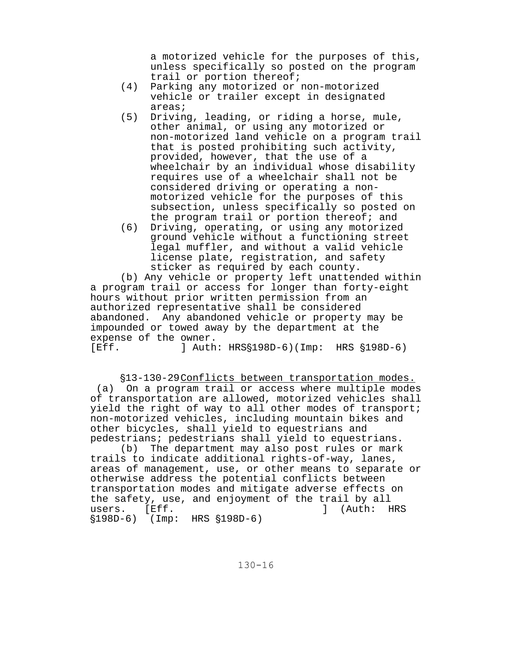a motorized vehicle for the purposes of this, unless specifically so posted on the program trail or portion thereof;

- (4) Parking any motorized or non-motorized vehicle or trailer except in designated areas;
- (5) Driving, leading, or riding a horse, mule, other animal, or using any motorized or non-motorized land vehicle on a program trail that is posted prohibiting such activity, provided, however, that the use of a wheelchair by an individual whose disability requires use of a wheelchair shall not be considered driving or operating a nonmotorized vehicle for the purposes of this subsection, unless specifically so posted on the program trail or portion thereof; and
- (6) Driving, operating, or using any motorized ground vehicle without a functioning street legal muffler, and without a valid vehicle license plate, registration, and safety sticker as required by each county.

(b) Any vehicle or property left unattended within a program trail or access for longer than forty-eight hours without prior written permission from an authorized representative shall be considered abandoned. Any abandoned vehicle or property may be impounded or towed away by the department at the expense of the owner.  $[Eff.$  ] Auth:  $HRS$198D-6$  (Imp:  $HRS$198D-6$ )

## §13-130-29 Conflicts between transportation modes.

 (a) On a program trail or access where multiple modes of transportation are allowed, motorized vehicles shall yield the right of way to all other modes of transport; non-motorized vehicles, including mountain bikes and other bicycles, shall yield to equestrians and pedestrians; pedestrians shall yield to equestrians.

(b) The department may also post rules or mark trails to indicate additional rights-of-way, lanes, areas of management, use, or other means to separate or otherwise address the potential conflicts between transportation modes and mitigate adverse effects on the safety, use, and enjoyment of the trail by all users. [Eff. **]** (Auth: HRS  $$198D-6$ ) (Imp: HRS  $$198D-6$ )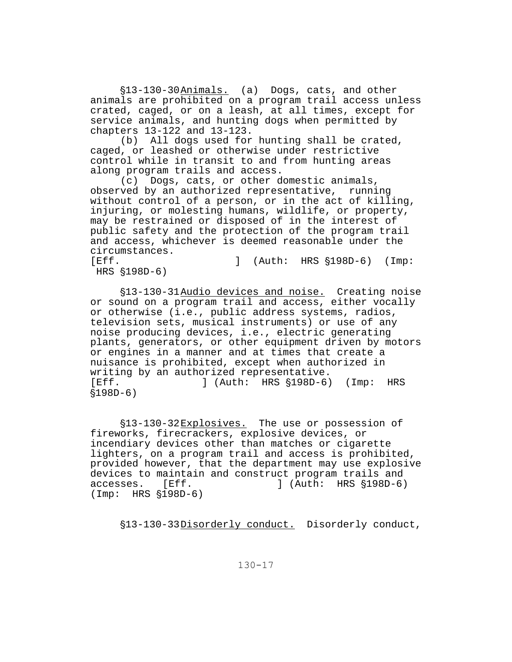§13-130-30 Animals. (a) Dogs, cats, and other animals are prohibited on a program trail access unless crated, caged, or on a leash, at all times, except for service animals, and hunting dogs when permitted by chapters 13-122 and 13-123.

(b) All dogs used for hunting shall be crated, caged, or leashed or otherwise under restrictive control while in transit to and from hunting areas along program trails and access.

(c) Dogs, cats, or other domestic animals, observed by an authorized representative, running without control of a person, or in the act of killing, injuring, or molesting humans, wildlife, or property, may be restrained or disposed of in the interest of public safety and the protection of the program trail and access, whichever is deemed reasonable under the circumstances.<br>[Eff.

 $[$  (Auth: HRS  $$198D-6$ ) (Imp: HRS  $$198D-6)$ 

§13-130-31 Audio devices and noise. Creating noise or sound on a program trail and access, either vocally or otherwise (i.e., public address systems, radios, television sets, musical instruments) or use of any noise producing devices, i.e., electric generating plants, generators, or other equipment driven by motors or engines in a manner and at times that create a nuisance is prohibited, except when authorized in writing by an authorized representative. [Eff. ] (Auth: HRS \$198D-6) (Imp: HRS  $$198D-6)$ 

§13-130-32 Explosives. The use or possession of fireworks, firecrackers, explosive devices, or incendiary devices other than matches or cigarette lighters, on a program trail and access is prohibited, provided however, that the department may use explosive devices to maintain and construct program trails and accesses. [Eff. ] (Auth: HRS  $\S 198D-6$ )  $(Imp: HRS \$ \$198D-6)

§13-130-33 Disorderly conduct. Disorderly conduct,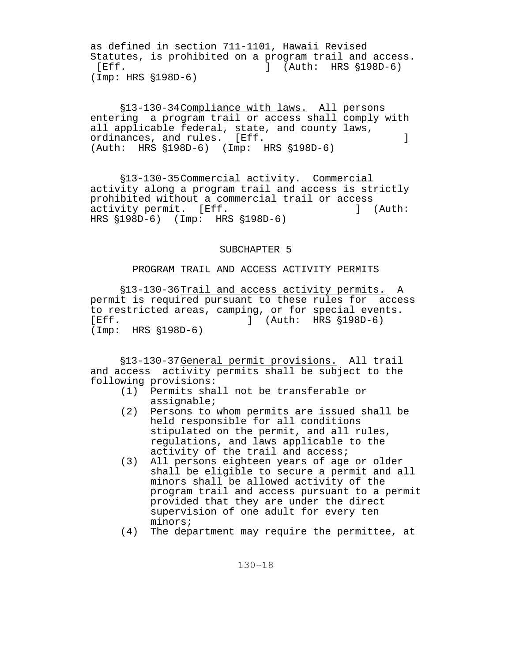as defined in section 711-1101, Hawaii Revised Statutes, is prohibited on a program trail and access.  $[Eff.$   $]$   $(Auth: HRS \S198D-6)$  $(Imp: HRS \$  $$198D-6)$ 

'13-130-34 Compliance with laws. All persons entering a program trail or access shall comply with all applicable federal, state, and county laws, ordinances, and rules. [Eff. **]** (Auth: HRS  $$198D-6$ ) (Imp: HRS  $$198D-6$ )

'13-130-35 Commercial activity. Commercial activity along a program trail and access is strictly prohibited without a commercial trail or access activity permit. [Eff. 1994] [Auth: HRS  $$198D-6$  (Imp: HRS  $$198D-6$ )

## SUBCHAPTER 5

## PROGRAM TRAIL AND ACCESS ACTIVITY PERMITS

§13-130-36 Trail and access activity permits. A permit is required pursuant to these rules for access to restricted areas, camping, or for special events. [Eff. ] (Auth: HRS '198D-6)  $(Imp: HRS \S198D-6)$ 

'13-130-37 General permit provisions. All trail and access activity permits shall be subject to the following provisions:

- (1) Permits shall not be transferable or assignable;
- (2) Persons to whom permits are issued shall be held responsible for all conditions stipulated on the permit, and all rules, regulations, and laws applicable to the activity of the trail and access;
- (3) All persons eighteen years of age or older shall be eligible to secure a permit and all minors shall be allowed activity of the program trail and access pursuant to a permit provided that they are under the direct supervision of one adult for every ten minors;
- (4) The department may require the permittee, at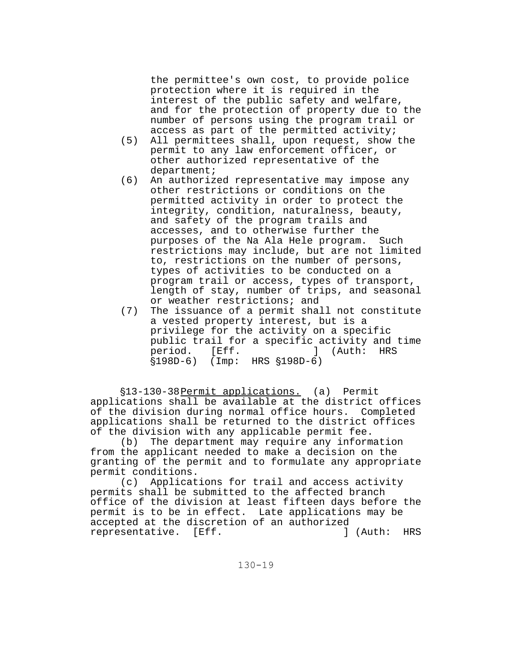the permittee's own cost, to provide police protection where it is required in the interest of the public safety and welfare, and for the protection of property due to the number of persons using the program trail or access as part of the permitted activity;

- (5) All permittees shall, upon request, show the permit to any law enforcement officer, or other authorized representative of the department;
- (6) An authorized representative may impose any other restrictions or conditions on the permitted activity in order to protect the integrity, condition, naturalness, beauty, and safety of the program trails and accesses, and to otherwise further the purposes of the Na Ala Hele program. Such restrictions may include, but are not limited to, restrictions on the number of persons, types of activities to be conducted on a program trail or access, types of transport, length of stay, number of trips, and seasonal or weather restrictions; and
- (7) The issuance of a permit shall not constitute a vested property interest, but is a privilege for the activity on a specific public trail for a specific activity and time period. [Eff. ] (Auth: HRS  $$198D-6$  (Imp: HRS  $$198D-6$ )

'13-130-38 Permit applications. (a) Permit applications shall be available at the district offices of the division during normal office hours. Completed applications shall be returned to the district offices of the division with any applicable permit fee.

(b) The department may require any information from the applicant needed to make a decision on the granting of the permit and to formulate any appropriate permit conditions.

(c) Applications for trail and access activity permits shall be submitted to the affected branch office of the division at least fifteen days before the permit is to be in effect. Late applications may be accepted at the discretion of an authorized representative. [Eff. 1999] The control of the control of the control of the control of the control of the control of the control of the control of the control of the control of the control of the control of the control of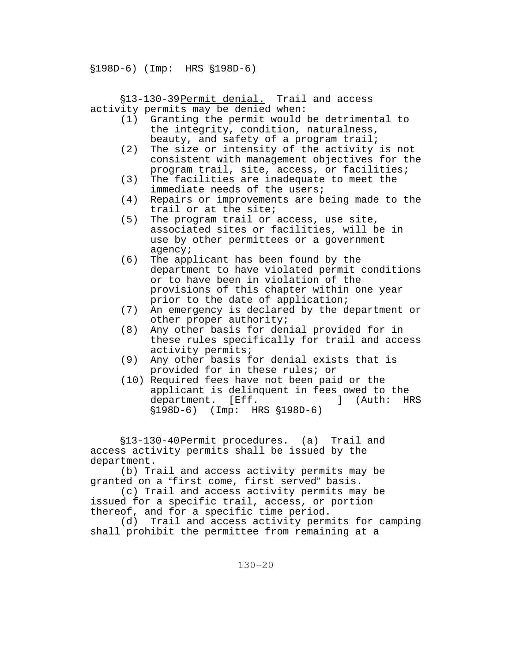$$198D-6$ ) (Imp: HRS  $$198D-6$ )

'13-130-39 Permit denial. Trail and access activity permits may be denied when:

- (1) Granting the permit would be detrimental to the integrity, condition, naturalness, beauty, and safety of a program trail;
- (2) The size or intensity of the activity is not consistent with management objectives for the program trail, site, access, or facilities;
- (3) The facilities are inadequate to meet the immediate needs of the users;
- (4) Repairs or improvements are being made to the trail or at the site;
- (5) The program trail or access, use site, associated sites or facilities, will be in use by other permittees or a government agency;
- (6) The applicant has been found by the department to have violated permit conditions or to have been in violation of the provisions of this chapter within one year prior to the date of application;
- (7) An emergency is declared by the department or other proper authority;
- (8) Any other basis for denial provided for in these rules specifically for trail and access activity permits;
- (9) Any other basis for denial exists that is provided for in these rules; or
- (10) Required fees have not been paid or the applicant is delinquent in fees owed to the<br>department. [Eff. 1 (Auth: HRS department. [Eff.  $$198D-6$  (Imp: HRS  $$198D-6$ )

§13-130-40 Permit procedures. (a) Trail and access activity permits shall be issued by the department.

(b) Trail and access activity permits may be granted on a "first come, first served" basis.

(c) Trail and access activity permits may be issued for a specific trail, access, or portion thereof, and for a specific time period.

(d) Trail and access activity permits for camping shall prohibit the permittee from remaining at a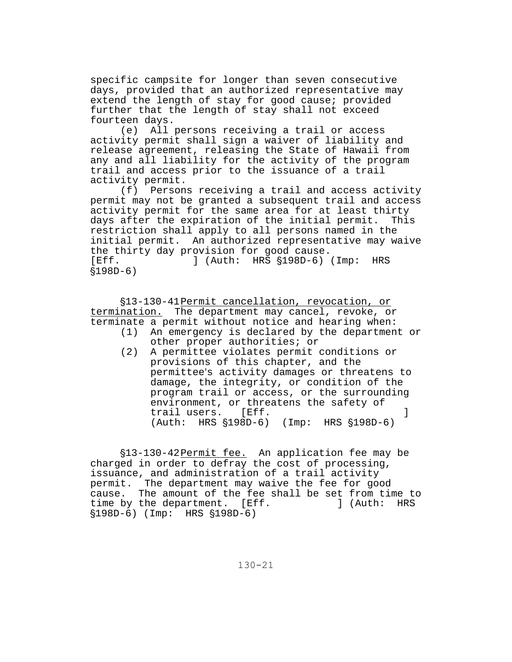specific campsite for longer than seven consecutive days, provided that an authorized representative may extend the length of stay for good cause; provided further that the length of stay shall not exceed fourteen days.

(e) All persons receiving a trail or access activity permit shall sign a waiver of liability and release agreement, releasing the State of Hawaii from any and all liability for the activity of the program trail and access prior to the issuance of a trail activity permit.

(f) Persons receiving a trail and access activity permit may not be granted a subsequent trail and access activity permit for the same area for at least thirty days after the expiration of the initial permit. This restriction shall apply to all persons named in the initial permit. An authorized representative may waive the thirty day provision for good cause. [Eff. ] (Auth: HRS  $\S 198D-6$ ) (Imp: HRS  $$198D-6)$ 

'13-130-41 Permit cancellation, revocation, or termination. The department may cancel, revoke, or terminate a permit without notice and hearing when:

- (1) An emergency is declared by the department or other proper authorities; or
- (2) A permittee violates permit conditions or provisions of this chapter, and the permittee's activity damages or threatens to damage, the integrity, or condition of the program trail or access, or the surrounding environment, or threatens the safety of trail users. [Eff. **]** (Auth: HRS  $$198D-6$ ) (Imp: HRS  $$198D-6$ )

'13-130-42 Permit fee. An application fee may be charged in order to defray the cost of processing, issuance, and administration of a trail activity permit. The department may waive the fee for good cause. The amount of the fee shall be set from time to time by the department. [Eff. ] (Auth: HRS  $$198D-6$ ) (Imp: HRS  $$198D-6$ )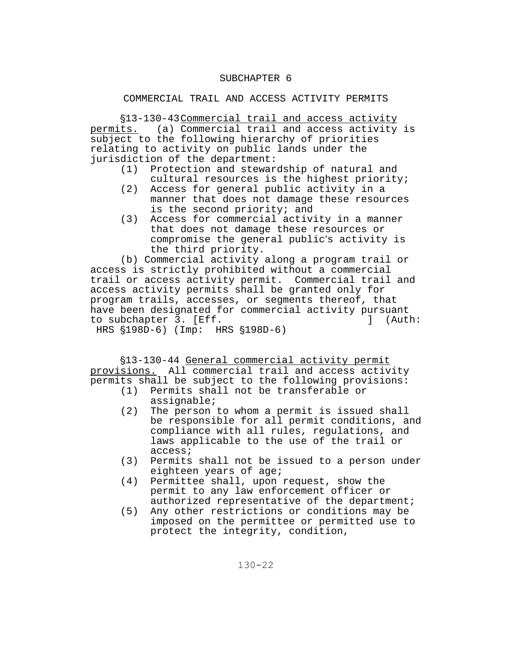## SUBCHAPTER 6

# COMMERCIAL TRAIL AND ACCESS ACTIVITY PERMITS

'13-130-43 Commercial trail and access activity permits. (a) Commercial trail and access activity is subject to the following hierarchy of priorities relating to activity on public lands under the jurisdiction of the department:

- (1) Protection and stewardship of natural and cultural resources is the highest priority;
- (2) Access for general public activity in a manner that does not damage these resources is the second priority; and
- (3) Access for commercial activity in a manner that does not damage these resources or compromise the general public's activity is the third priority.

(b) Commercial activity along a program trail or access is strictly prohibited without a commercial trail or access activity permit. Commercial trail and access activity permits shall be granted only for program trails, accesses, or segments thereof, that have been designated for commercial activity pursuant to subchapter 3. [Eff. ] (Auth: HRS  $$198D-6$ ) (Imp: HRS  $$198D-6$ )

'13-130-44 General commercial activity permit provisions. All commercial trail and access activity permits shall be subject to the following provisions:

- (1) Permits shall not be transferable or assignable;
- (2) The person to whom a permit is issued shall be responsible for all permit conditions, and compliance with all rules, regulations, and laws applicable to the use of the trail or access;
- (3) Permits shall not be issued to a person under eighteen years of age;
- (4) Permittee shall, upon request, show the permit to any law enforcement officer or authorized representative of the department;
- (5) Any other restrictions or conditions may be imposed on the permittee or permitted use to protect the integrity, condition,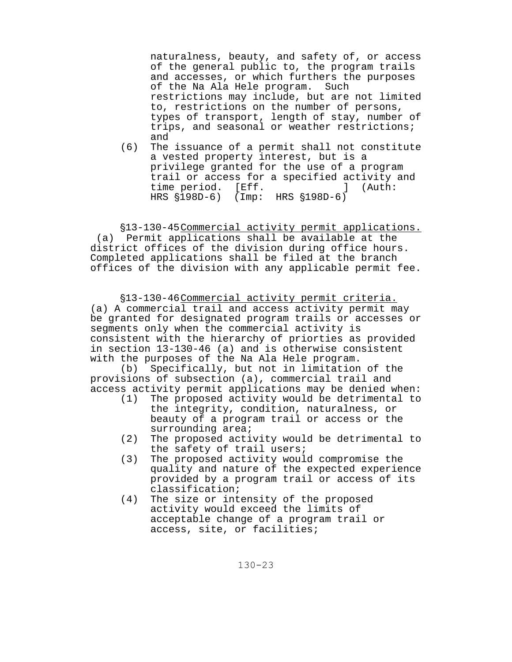naturalness, beauty, and safety of, or access of the general public to, the program trails and accesses, or which furthers the purposes of the Na Ala Hele program. Such restrictions may include, but are not limited to, restrictions on the number of persons, types of transport, length of stay, number of trips, and seasonal or weather restrictions; and

(6) The issuance of a permit shall not constitute a vested property interest, but is a privilege granted for the use of a program trail or access for a specified activity and time period. [Eff. 15] (Auth: HRS  $$198D-6$  (Imp: HRS  $$198D-6$ )

'13-130-45 Commercial activity permit applications. (a) Permit applications shall be available at the district offices of the division during office hours. Completed applications shall be filed at the branch offices of the division with any applicable permit fee.

§13-130-46 Commercial activity permit criteria. (a) A commercial trail and access activity permit may be granted for designated program trails or accesses or segments only when the commercial activity is consistent with the hierarchy of priorties as provided in section 13-130-46 (a) and is otherwise consistent with the purposes of the Na Ala Hele program.

(b) Specifically, but not in limitation of the provisions of subsection (a), commercial trail and access activity permit applications may be denied when:

- (1) The proposed activity would be detrimental to the integrity, condition, naturalness, or beauty of a program trail or access or the surrounding area;
- (2) The proposed activity would be detrimental to the safety of trail users;
- (3) The proposed activity would compromise the quality and nature of the expected experience provided by a program trail or access of its classification;
- (4) The size or intensity of the proposed activity would exceed the limits of acceptable change of a program trail or access, site, or facilities;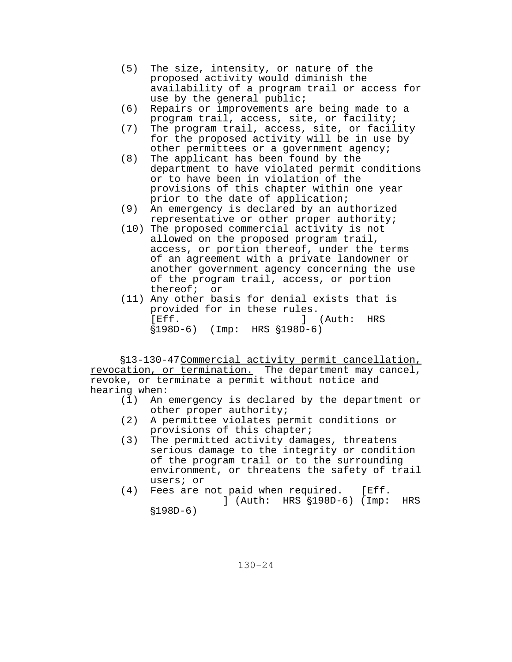- (5) The size, intensity, or nature of the proposed activity would diminish the availability of a program trail or access for use by the general public;
- (6) Repairs or improvements are being made to a program trail, access, site, or facility;
- (7) The program trail, access, site, or facility for the proposed activity will be in use by other permittees or a government agency;
- (8) The applicant has been found by the department to have violated permit conditions or to have been in violation of the provisions of this chapter within one year prior to the date of application;
- (9) An emergency is declared by an authorized representative or other proper authority;
- (10) The proposed commercial activity is not allowed on the proposed program trail, access, or portion thereof, under the terms of an agreement with a private landowner or another government agency concerning the use of the program trail, access, or portion thereof; or
- (11) Any other basis for denial exists that is provided for in these rules. [Eff. ] (Auth: HRS  $$198D-6$  (Imp: HRS  $$198D-6$ )

'13-130-47 Commercial activity permit cancellation, revocation, or termination. The department may cancel, revoke, or terminate a permit without notice and hearing when:<br>(1) An

- An emergency is declared by the department or other proper authority;
- (2) A permittee violates permit conditions or provisions of this chapter;
- (3) The permitted activity damages, threatens serious damage to the integrity or condition of the program trail or to the surrounding environment, or threatens the safety of trail users; or
- (4) Fees are not paid when required. [Eff. ] (Auth: HRS  $$198D-6$ ) (Imp: HRS

 $$198D-6)$